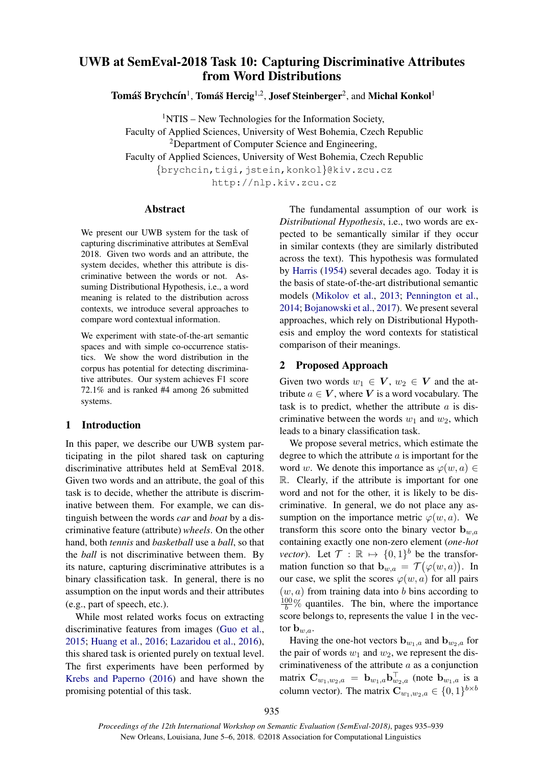# UWB at SemEval-2018 Task 10: Capturing Discriminative Attributes from Word Distributions

 $\bf{T}$ omáš  $\bf{B}$ rychcín $^1$ , Tomáš Hercig $^{1,2}$ , Josef Steinberger $^2$ , and Michal Konkol $^1$ 

 $1$ NTIS – New Technologies for the Information Society, Faculty of Applied Sciences, University of West Bohemia, Czech Republic <sup>2</sup>Department of Computer Science and Engineering, Faculty of Applied Sciences, University of West Bohemia, Czech Republic {brychcin,tigi,jstein,konkol}@kiv.zcu.cz

http://nlp.kiv.zcu.cz

#### Abstract

We present our UWB system for the task of capturing discriminative attributes at SemEval 2018. Given two words and an attribute, the system decides, whether this attribute is discriminative between the words or not. Assuming Distributional Hypothesis, i.e., a word meaning is related to the distribution across contexts, we introduce several approaches to compare word contextual information.

We experiment with state-of-the-art semantic spaces and with simple co-occurrence statistics. We show the word distribution in the corpus has potential for detecting discriminative attributes. Our system achieves F1 score 72.1% and is ranked #4 among 26 submitted systems.

## 1 Introduction

In this paper, we describe our UWB system participating in the pilot shared task on capturing discriminative attributes held at SemEval 2018. Given two words and an attribute, the goal of this task is to decide, whether the attribute is discriminative between them. For example, we can distinguish between the words *car* and *boat* by a discriminative feature (attribute) *wheels*. On the other hand, both *tennis* and *basketball* use a *ball*, so that the *ball* is not discriminative between them. By its nature, capturing discriminative attributes is a binary classification task. In general, there is no assumption on the input words and their attributes (e.g., part of speech, etc.).

While most related works focus on extracting discriminative features from images (Guo et al., 2015; Huang et al., 2016; Lazaridou et al., 2016), this shared task is oriented purely on textual level. The first experiments have been performed by Krebs and Paperno (2016) and have shown the promising potential of this task.

The fundamental assumption of our work is *Distributional Hypothesis*, i.e., two words are expected to be semantically similar if they occur in similar contexts (they are similarly distributed across the text). This hypothesis was formulated by Harris (1954) several decades ago. Today it is the basis of state-of-the-art distributional semantic models (Mikolov et al., 2013; Pennington et al., 2014; Bojanowski et al., 2017). We present several approaches, which rely on Distributional Hypothesis and employ the word contexts for statistical comparison of their meanings.

## 2 Proposed Approach

Given two words  $w_1 \in V$ ,  $w_2 \in V$  and the attribute  $a \in V$ , where V is a word vocabulary. The task is to predict, whether the attribute  $a$  is discriminative between the words  $w_1$  and  $w_2$ , which leads to a binary classification task.

We propose several metrics, which estimate the degree to which the attribute  $a$  is important for the word w. We denote this importance as  $\varphi(w, a) \in$ R. Clearly, if the attribute is important for one word and not for the other, it is likely to be discriminative. In general, we do not place any assumption on the importance metric  $\varphi(w, a)$ . We transform this score onto the binary vector  $\mathbf{b}_{w,a}$ containing exactly one non-zero element (*one-hot vector*). Let  $\mathcal{T} : \mathbb{R} \mapsto \{0,1\}^b$  be the transformation function so that  $\mathbf{b}_{w,a} = \mathcal{T}(\varphi(w,a))$ . In our case, we split the scores  $\varphi(w, a)$  for all pairs  $(w, a)$  from training data into b bins according to  $\frac{100}{b}$ % quantiles. The bin, where the importance score belongs to, represents the value 1 in the vector  $\mathbf{b}_{w,a}$ .

Having the one-hot vectors  $\mathbf{b}_{w_1,a}$  and  $\mathbf{b}_{w_2,a}$  for the pair of words  $w_1$  and  $w_2$ , we represent the discriminativeness of the attribute  $a$  as a conjunction matrix  $\mathbf{C}_{w_1,w_2,a} = \mathbf{b}_{w_1,a} \mathbf{b}_{w_2,a}^{\dagger}$  (note  $\mathbf{b}_{w_1,a}$  is a column vector). The matrix  $\mathbf{C}_{w_1,w_2,a} \in \{0,1\}^{b \times b}$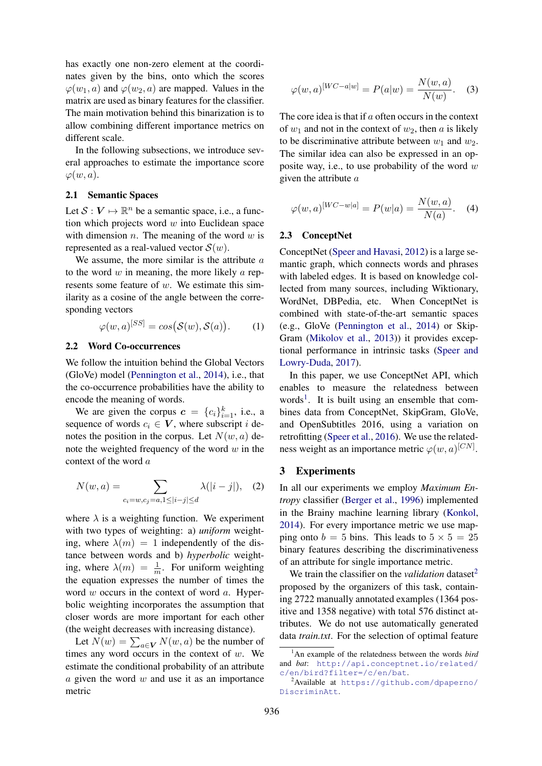has exactly one non-zero element at the coordinates given by the bins, onto which the scores  $\varphi(w_1, a)$  and  $\varphi(w_2, a)$  are mapped. Values in the matrix are used as binary features for the classifier. The main motivation behind this binarization is to allow combining different importance metrics on different scale.

In the following subsections, we introduce several approaches to estimate the importance score  $\varphi(w, a)$ .

## 2.1 Semantic Spaces

Let  $S: V \mapsto \mathbb{R}^n$  be a semantic space, i.e., a function which projects word  $w$  into Euclidean space with dimension  $n$ . The meaning of the word  $w$  is represented as a real-valued vector  $S(w)$ .

We assume, the more similar is the attribute  $a$ to the word  $w$  in meaning, the more likely  $a$  represents some feature of  $w$ . We estimate this similarity as a cosine of the angle between the corresponding vectors

$$
\varphi(w, a)^{[SS]} = \cos(\mathcal{S}(w), \mathcal{S}(a)). \tag{1}
$$

#### 2.2 Word Co-occurrences

We follow the intuition behind the Global Vectors (GloVe) model (Pennington et al., 2014), i.e., that the co-occurrence probabilities have the ability to encode the meaning of words.

We are given the corpus  $\mathbf{c} = \{c_i\}_{i=1}^k$ , i.e., a sequence of words  $c_i \in V$ , where subscript i denotes the position in the corpus. Let  $N(w, a)$  denote the weighted frequency of the word  $w$  in the context of the word a

$$
N(w, a) = \sum_{c_i = w, c_j = a, 1 \le |i - j| \le d} \lambda(|i - j|), \quad (2)
$$

where  $\lambda$  is a weighting function. We experiment with two types of weighting: a) *uniform* weighting, where  $\lambda(m) = 1$  independently of the distance between words and b) *hyperbolic* weighting, where  $\lambda(m) = \frac{1}{m}$ . For uniform weighting the equation expresses the number of times the word  $w$  occurs in the context of word  $a$ . Hyperbolic weighting incorporates the assumption that closer words are more important for each other (the weight decreases with increasing distance).

Let  $N(w) = \sum_{a \in V} N(w, a)$  be the number of times any word occurs in the context of  $w$ . We estimate the conditional probability of an attribute  $a$  given the word  $w$  and use it as an importance metric

$$
\varphi(w, a)^{[WC - a|w]} = P(a|w) = \frac{N(w, a)}{N(w)}.
$$
 (3)

The core idea is that if a often occurs in the context of  $w_1$  and not in the context of  $w_2$ , then a is likely to be discriminative attribute between  $w_1$  and  $w_2$ . The similar idea can also be expressed in an opposite way, i.e., to use probability of the word  $w$ given the attribute a

$$
\varphi(w, a)^{[WC - w|a]} = P(w|a) = \frac{N(w, a)}{N(a)}.
$$
 (4)

#### 2.3 ConceptNet

ConceptNet (Speer and Havasi, 2012) is a large semantic graph, which connects words and phrases with labeled edges. It is based on knowledge collected from many sources, including Wiktionary, WordNet, DBPedia, etc. When ConceptNet is combined with state-of-the-art semantic spaces (e.g., GloVe (Pennington et al., 2014) or Skip-Gram (Mikolov et al., 2013)) it provides exceptional performance in intrinsic tasks (Speer and Lowry-Duda, 2017).

In this paper, we use ConceptNet API, which enables to measure the relatedness between words<sup>1</sup>. It is built using an ensemble that combines data from ConceptNet, SkipGram, GloVe, and OpenSubtitles 2016, using a variation on retrofitting (Speer et al., 2016). We use the relatedness weight as an importance metric  $\varphi(w, a)^{[CN]}$ .

#### 3 Experiments

In all our experiments we employ *Maximum Entropy* classifier (Berger et al., 1996) implemented in the Brainy machine learning library (Konkol, 2014). For every importance metric we use mapping onto  $b = 5$  bins. This leads to  $5 \times 5 = 25$ binary features describing the discriminativeness of an attribute for single importance metric.

We train the classifier on the *validation* dataset<sup>2</sup> proposed by the organizers of this task, containing 2722 manually annotated examples (1364 positive and 1358 negative) with total 576 distinct attributes. We do not use automatically generated data *train.txt*. For the selection of optimal feature

<sup>1</sup>An example of the relatedness between the words *bird* and *bat*: http://api.conceptnet.io/related/ c/en/bird?filter=/c/en/bat.

<sup>2</sup>Available at https://github.com/dpaperno/ DiscriminAtt.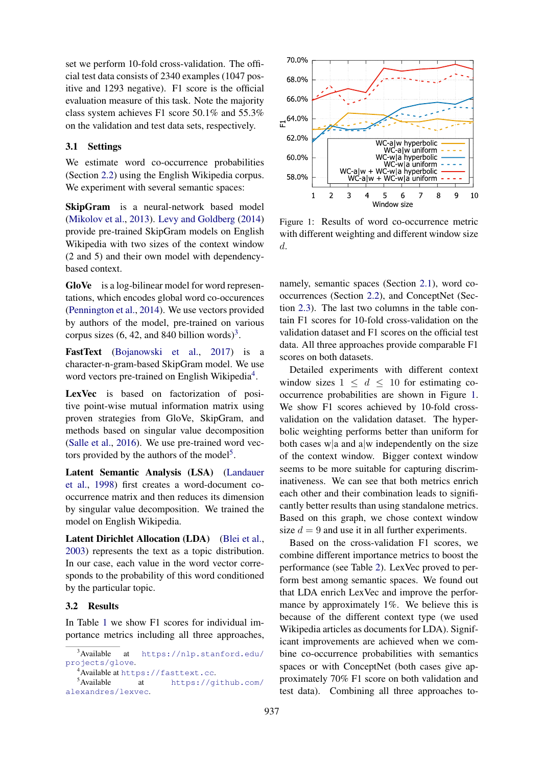set we perform 10-fold cross-validation. The official test data consists of 2340 examples (1047 positive and 1293 negative). F1 score is the official evaluation measure of this task. Note the majority class system achieves F1 score 50.1% and 55.3% on the validation and test data sets, respectively.

## 3.1 Settings

We estimate word co-occurrence probabilities (Section 2.2) using the English Wikipedia corpus. We experiment with several semantic spaces:

SkipGram is a neural-network based model (Mikolov et al., 2013). Levy and Goldberg (2014) provide pre-trained SkipGram models on English Wikipedia with two sizes of the context window (2 and 5) and their own model with dependencybased context.

GloVe is a log-bilinear model for word representations, which encodes global word co-occurences (Pennington et al., 2014). We use vectors provided by authors of the model, pre-trained on various corpus sizes  $(6, 42,$  and 840 billion words)<sup>3</sup>.

FastText (Bojanowski et al., 2017) is a character-n-gram-based SkipGram model. We use word vectors pre-trained on English Wikipedia<sup>4</sup>.

LexVec is based on factorization of positive point-wise mutual information matrix using proven strategies from GloVe, SkipGram, and methods based on singular value decomposition (Salle et al., 2016). We use pre-trained word vectors provided by the authors of the model<sup>5</sup>.

Latent Semantic Analysis (LSA) (Landauer et al., 1998) first creates a word-document cooccurrence matrix and then reduces its dimension by singular value decomposition. We trained the model on English Wikipedia.

Latent Dirichlet Allocation (LDA) (Blei et al., 2003) represents the text as a topic distribution. In our case, each value in the word vector corresponds to the probability of this word conditioned by the particular topic.

# 3.2 Results

In Table 1 we show F1 scores for individual importance metrics including all three approaches,



Figure 1: Results of word co-occurrence metric with different weighting and different window size d.

namely, semantic spaces (Section 2.1), word cooccurrences (Section 2.2), and ConceptNet (Section 2.3). The last two columns in the table contain F1 scores for 10-fold cross-validation on the validation dataset and F1 scores on the official test data. All three approaches provide comparable F1 scores on both datasets.

Detailed experiments with different context window sizes  $1 \le d \le 10$  for estimating cooccurrence probabilities are shown in Figure 1. We show F1 scores achieved by 10-fold crossvalidation on the validation dataset. The hyperbolic weighting performs better than uniform for both cases w|a and a|w independently on the size of the context window. Bigger context window seems to be more suitable for capturing discriminativeness. We can see that both metrics enrich each other and their combination leads to significantly better results than using standalone metrics. Based on this graph, we chose context window size  $d = 9$  and use it in all further experiments.

Based on the cross-validation F1 scores, we combine different importance metrics to boost the performance (see Table 2). LexVec proved to perform best among semantic spaces. We found out that LDA enrich LexVec and improve the performance by approximately 1\%. We believe this is because of the different context type (we used Wikipedia articles as documents for LDA). Significant improvements are achieved when we combine co-occurrence probabilities with semantics spaces or with ConceptNet (both cases give approximately 70% F1 score on both validation and test data). Combining all three approaches to-

<sup>&</sup>lt;sup>3</sup>Available at https://nlp.stanford.edu/ projects/glove.

<sup>4&</sup>lt;br>Available at https://fasttext.cc.<br>5<br>Available at https://g at https://github.com/ alexandres/lexvec.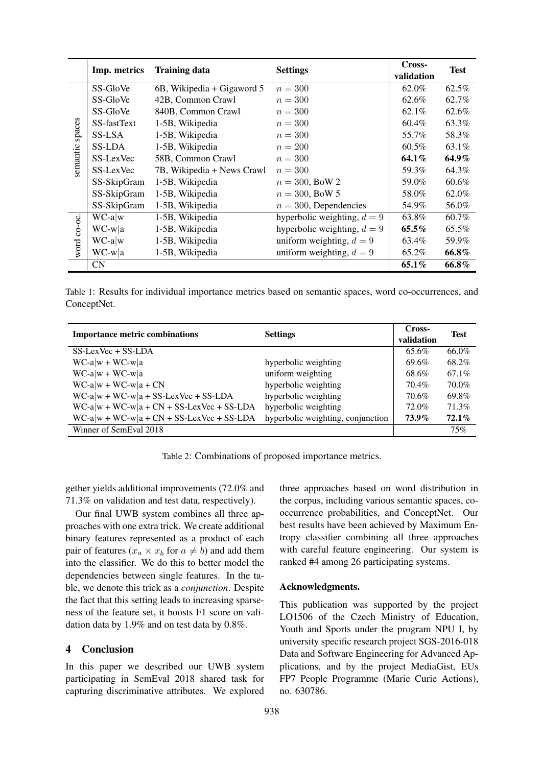|                    |              |                            | Cross-                        |            |             |
|--------------------|--------------|----------------------------|-------------------------------|------------|-------------|
|                    | Imp. metrics | <b>Training data</b>       | <b>Settings</b>               | validation | <b>Test</b> |
| spaces<br>semantic | SS-GloVe     | 6B, Wikipedia + Gigaword 5 | $n=300$                       | 62.0%      | 62.5%       |
|                    | SS-GloVe     | 42B, Common Crawl          | $n=300$                       | 62.6%      | 62.7%       |
|                    | SS-GloVe     | 840B, Common Crawl         | $n = 300$                     | 62.1%      | 62.6%       |
|                    | SS-fastText  | 1-5B, Wikipedia            | $n = 300$                     | 60.4%      | 63.3%       |
|                    | SS-LSA       | 1-5B, Wikipedia            | $n = 300$                     | 55.7%      | 58.3%       |
|                    | SS-LDA       | 1-5B, Wikipedia            | $n = 200$                     | 60.5%      | 63.1%       |
|                    | SS-LexVec    | 58B, Common Crawl          | $n = 300$                     | 64.1%      | 64.9%       |
|                    | SS-LexVec    | 7B, Wikipedia + News Crawl | $n=300$                       | 59.3%      | 64.3%       |
|                    | SS-SkipGram  | 1-5B, Wikipedia            | $n = 300$ , BoW 2             | 59.0%      | $60.6\%$    |
|                    | SS-SkipGram  | 1-5B, Wikipedia            | $n = 300$ , BoW 5             | 58.0%      | 62.0%       |
|                    | SS-SkipGram  | 1-5B, Wikipedia            | $n = 300$ , Dependencies      | 54.9%      | 56.0%       |
| word co-oc.        | $WC-a w$     | 1-5B, Wikipedia            | hyperbolic weighting, $d = 9$ | 63.8%      | 60.7%       |
|                    | $WC-w a$     | 1-5B, Wikipedia            | hyperbolic weighting, $d = 9$ | $65.5\%$   | 65.5%       |
|                    | $WC-a w$     | 1-5B, Wikipedia            | uniform weighting, $d = 9$    | 63.4%      | 59.9%       |
|                    | $WC-w a$     | 1-5B, Wikipedia            | uniform weighting, $d = 9$    | 65.2%      | 66.8%       |
|                    | <b>CN</b>    |                            |                               | 65.1%      | 66.8%       |

Table 1: Results for individual importance metrics based on semantic spaces, word co-occurrences, and ConceptNet.

| <b>Importance metric combinations</b>       | <b>Settings</b>                   | Cross-<br>validation | <b>Test</b> |
|---------------------------------------------|-----------------------------------|----------------------|-------------|
| $SS-LexVec + SS-LDA$                        |                                   | 65.6%                | 66.0%       |
| $WC-a w + WC-w a$                           | hyperbolic weighting              | 69.6%                | 68.2%       |
| $WC-a w + WC-w a$                           | uniform weighting                 | 68.6%                | 67.1%       |
| $WC-a w + WC-w a + CN$                      | hyperbolic weighting              | 70.4%                | 70.0%       |
| $WC-a w + WC-w a + SS-LexVec + SS-LDA$      | hyperbolic weighting              | 70.6%                | 69.8%       |
| $WC-a w + WC-w a + CN + SS-LexVec + SS-LDA$ | hyperbolic weighting              | 72.0%                | 71.3%       |
| $WC-a w + WC-w a + CN + SS-LexVec + SS-LDA$ | hyperbolic weighting, conjunction | $73.9\%$             | $72.1\%$    |
| Winner of SemEval 2018                      |                                   |                      | 75%         |

Table 2: Combinations of proposed importance metrics.

gether yields additional improvements (72.0% and 71.3% on validation and test data, respectively).

Our final UWB system combines all three approaches with one extra trick. We create additional binary features represented as a product of each pair of features ( $x_a \times x_b$  for  $a \neq b$ ) and add them into the classifier. We do this to better model the dependencies between single features. In the table, we denote this trick as a *conjunction*. Despite the fact that this setting leads to increasing sparseness of the feature set, it boosts F1 score on validation data by 1.9% and on test data by 0.8%.

#### 4 Conclusion

In this paper we described our UWB system participating in SemEval 2018 shared task for capturing discriminative attributes. We explored three approaches based on word distribution in the corpus, including various semantic spaces, cooccurrence probabilities, and ConceptNet. Our best results have been achieved by Maximum Entropy classifier combining all three approaches with careful feature engineering. Our system is ranked #4 among 26 participating systems.

#### Acknowledgments.

This publication was supported by the project LO1506 of the Czech Ministry of Education, Youth and Sports under the program NPU I, by university specific research project SGS-2016-018 Data and Software Engineering for Advanced Applications, and by the project MediaGist, EUs FP7 People Programme (Marie Curie Actions), no. 630786.